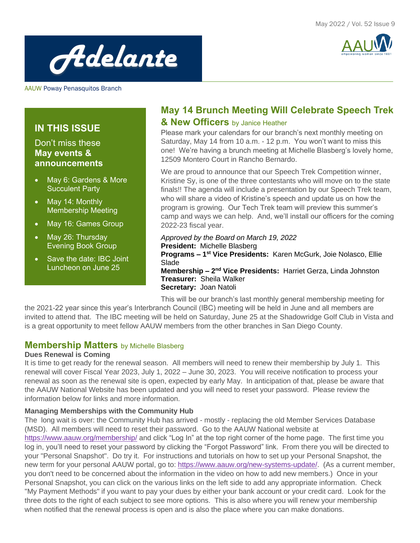



AAUW Poway Penasquitos Branch

#### **IN THIS ISSUE**

#### Don't miss these **May events & announcements**

- May 6: Gardens & More Succulent Party
- May 14: Monthly Membership Meeting
- May 16: Games Group
- May 26: Thursday Evening Book Group
- Save the date: IBC Joint Luncheon on June 25

#### **May 14 Brunch Meeting Will Celebrate Speech Trek & New Officers** by Janice Heather

Please mark your calendars for our branch's next monthly meeting on Saturday, May 14 from 10 a.m. - 12 p.m. You won't want to miss this one! We're having a brunch meeting at Michelle Blasberg's lovely home, 12509 Montero Court in Rancho Bernardo.

We are proud to announce that our Speech Trek Competition winner, Kristine Sy, is one of the three contestants who will move on to the state finals!! The agenda will include a presentation by our Speech Trek team, who will share a video of Kristine's speech and update us on how the program is growing. Our Tech Trek team will preview this summer's camp and ways we can help. And, we'll install our officers for the coming 2022-23 fiscal year.

*Approved by the Board on March 19, 2022* **President:** Michelle Blasberg **Programs – 1 st Vice Presidents:** Karen McGurk, Joie Nolasco, Ellie Slade **Membership - 2<sup>nd</sup> Vice Presidents: Harriet Gerza, Linda Johnston Treasurer:** Sheila Walker **Secretary:** Joan Natoli

This will be our branch's last monthly general membership meeting for the 2021-22 year since this year's Interbranch Council (IBC) meeting will be held in June and all members are invited to attend that. The IBC meeting will be held on Saturday, June 25 at the Shadowridge Golf Club in Vista and is a great opportunity to meet fellow AAUW members from the other branches in San Diego County.

#### **Membership Matters** by Michelle Blasberg

#### **Dues Renewal is Coming**

It is time to get ready for the renewal season. All members will need to renew their membership by July 1. This renewal will cover Fiscal Year 2023, July 1, 2022 – June 30, 2023. You will receive notification to process your renewal as soon as the renewal site is open, expected by early May. In anticipation of that, please be aware that the AAUW National Website has been updated and you will need to reset your password. Please review the information below for links and more information.

#### **Managing Memberships with the Community Hub**

The long wait is over: the Community Hub has arrived - mostly - replacing the old Member Services Database (MSD). All members will need to reset their password. Go to the AAUW National website at

<https://www.aauw.org/membership/> and click "Log In" at the top right corner of the home page. The first time you log in, you'll need to reset your password by clicking the "Forgot Password" link. From there you will be directed to your "Personal Snapshot". Do try it. For instructions and tutorials on how to set up your Personal Snapshot, the new term for your personal AAUW portal, go to: [https://www.aauw.org/new-systems-update/.](https://www.aauw.org/new-systems-update/) (As a current member, you don't need to be concerned about the information in the video on how to add new members.) Once in your Personal Snapshot, you can click on the various links on the left side to add any appropriate information. Check "My Payment Methods" if you want to pay your dues by either your bank account or your credit card. Look for the three dots to the right of each subject to see more options. This is also where you will renew your membership when notified that the renewal process is open and is also the place where you can make donations.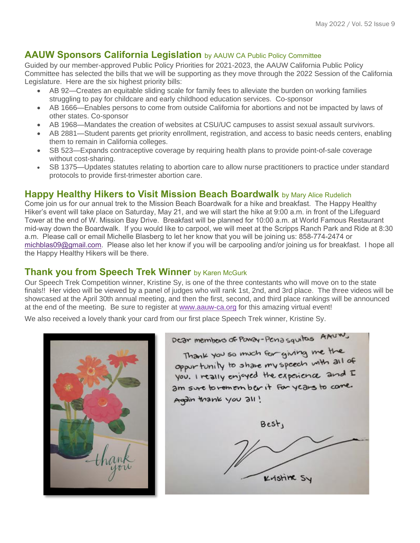#### **AAUW Sponsors California Legislation** by AAUW CA Public Policy Committee

Guided by our member-approved Public Policy Priorities for 2021-2023, the AAUW California Public Policy Committee has selected the bills that we will be supporting as they move through the 2022 Session of the California Legislature. Here are the six highest priority bills:

- AB 92—Creates an equitable sliding scale for family fees to alleviate the burden on working families struggling to pay for childcare and early childhood education services. Co-sponsor
- AB 1666—Enables persons to come from outside California for abortions and not be impacted by laws of other states. Co-sponsor
- AB 1968—Mandates the creation of websites at CSU/UC campuses to assist sexual assault survivors.
- AB 2881—Student parents get priority enrollment, registration, and access to basic needs centers, enabling them to remain in California colleges.
- SB 523—Expands contraceptive coverage by requiring health plans to provide point-of-sale coverage without cost-sharing.
- SB 1375—Updates statutes relating to abortion care to allow nurse practitioners to practice under standard protocols to provide first-trimester abortion care.

#### **Happy Healthy Hikers to Visit Mission Beach Boardwalk** by Mary Alice Rudelich

Come join us for our annual trek to the Mission Beach Boardwalk for a hike and breakfast. The Happy Healthy Hiker's event will take place on Saturday, May 21, and we will start the hike at 9:00 a.m. in front of the Lifeguard Tower at the end of W. Mission Bay Drive. Breakfast will be planned for 10:00 a.m. at World Famous Restaurant mid-way down the Boardwalk. If you would like to carpool, we will meet at the Scripps Ranch Park and Ride at 8:30 a.m. Please call or email Michelle Blasberg to let her know that you will be joining us: 858-774-2474 or [michblas09@gmail.com.](mailto:michblas09@gmail.com) Please also let her know if you will be carpooling and/or joining us for breakfast. I hope all the Happy Healthy Hikers will be there.

#### **Thank you from Speech Trek Winner** by Karen McGurk

Our Speech Trek Competition winner, Kristine Sy, is one of the three contestants who will move on to the state finals!! Her video will be viewed by a panel of judges who will rank 1st, 2nd, and 3rd place. The three videos will be showcased at the April 30th annual meeting, and then the first, second, and third place rankings will be announced at the end of the meeting. Be sure to register at [www.aauw-ca.org](http://www.aauw-ca.org/) for this amazing virtual event!

We also received a lovely thank your card from our first place Speech Trek winner, Kristine Sy.



Dear members of Powar-Penasquitos AAUW. Thank you so much for giving me the oppur tunity to share my speech with all of you. I really enjoyed the experience and I am sure to remember it for years to come. Again thank you all! Best, Kristine Sy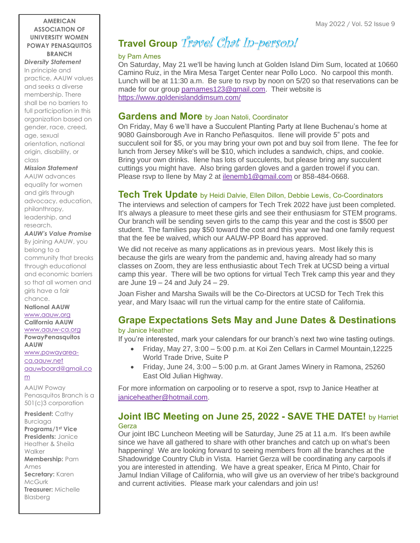#### **AMERICAN ASSOCIATION OF UNIVERSITY WOMEN POWAY PENASQUITOS BRANCH**

*Diversity Statement* In principle and practice, AAUW values and seeks a diverse membership. There shall be no barriers to full participation in this organization based on gender, race, creed, age, sexual orientation, national origin, disability, or class

#### *Mission Statement*

AAUW advances equality for women and girls through advocacy, education, philanthropy, leadership, and research.

#### *AAUW's Value Promise*

By joining AAUW, you belong to a community that breaks through educational and economic barriers so that all women and girls have a fair chance.

**National AAUW** [www.aauw.org](http://www.aauw.org/) **California AAUW** [www.aauw-ca.org](http://www.aauw-ca.org/) **PowayPenasquitos AAUW**

[www.powayarea](http://www.powayarea-ca.aauw.net/)[ca.aauw.net](http://www.powayarea-ca.aauw.net/) [aauwboard@gmail.co](mailto:aauwboard@gmail.com) [m](mailto:aauwboard@gmail.com)

AAUW Poway Penasquitos Branch is a 501(c)3 corporation

**President:** Cathy Burciaga **Programs/1st Vice Presidents:** Janice Heather & Sheila **Walker Membership:** Pam Ames **Secretary:** Karen **McGurk Treasurer:** Michelle Blasberg

# **Travel Group** Travel Chat In-person!

#### by Pam Ames

On Saturday, May 21 we'll be having lunch at Golden Island Dim Sum, located at 10660 Camino Ruiz, in the Mira Mesa Target Center near Pollo Loco. No carpool this month. Lunch will be at 11:30 a.m. Be sure to rsvp by noon on 5/20 so that reservations can be made for our group [pamames123@gmail.com.](mailto:pamames123@gmail.com) Their website is <https://www.goldenislanddimsum.com/>

#### **Gardens and More** by Joan Natoli, Coordinator

On Friday, May 6 we'll have a Succulent Planting Party at Ilene Buchenau's home at 9080 Gainsborough Ave in Rancho Peñasquitos. Ilene will provide 5" pots and succulent soil for \$5, or you may bring your own pot and buy soil from Ilene. The fee for lunch from Jersey Mike's will be \$10, which includes a sandwich, chips, and cookie. Bring your own drinks. Ilene has lots of succulents, but please bring any succulent cuttings you might have. Also bring garden gloves and a garden trowel if you can. Please rsvp to Ilene by May 2 at [ilenemb1@gmail.com](mailto:ilenemb1@gmail.com) or 858-484-0668.

#### **Tech Trek Update** by Heidi Dalvie, Ellen Dillon, Debbie Lewis, Co-Coordinators

The interviews and selection of campers for Tech Trek 2022 have just been completed. It's always a pleasure to meet these girls and see their enthusiasm for STEM programs. Our branch will be sending seven girls to the camp this year and the cost is \$500 per student. The families pay \$50 toward the cost and this year we had one family request that the fee be waived, which our AAUW-PP Board has approved.

We did not receive as many applications as in previous years. Most likely this is because the girls are weary from the pandemic and, having already had so many classes on Zoom, they are less enthusiastic about Tech Trek at UCSD being a virtual camp this year. There will be two options for virtual Tech Trek camp this year and they are June 19 – 24 and July 24 – 29.

Joan Fisher and Marsha Swails will be the Co-Directors at UCSD for Tech Trek this year, and Mary Isaac will run the virtual camp for the entire state of California.

### **Grape Expectations Sets May and June Dates & Destinations**

#### by Janice Heather

If you're interested, mark your calendars for our branch's next two wine tasting outings.

- Friday, May 27, 3:00 5:00 p.m. at Koi Zen Cellars in Carmel Mountain,12225 World Trade Drive, Suite P
- Friday, June 24, 3:00 5:00 p.m. at Grant James Winery in Ramona, 25260 East Old Julian Highway.

For more information on carpooling or to reserve a spot, rsvp to Janice Heather at [janiceheather@hotmail.com.](mailto:janiceheather@hotmail.com)

#### **Joint IBC Meeting on June 25, 2022 - SAVE THE DATE!** by Harriet Gerza

Our joint IBC Luncheon Meeting will be Saturday, June 25 at 11 a.m. It's been awhile since we have all gathered to share with other branches and catch up on what's been happening! We are looking forward to seeing members from all the branches at the Shadowridge Country Club in Vista. Harriet Gerza will be coordinating any carpools if you are interested in attending. We have a great speaker, Erica M Pinto, Chair for Jamul Indian Village of California, who will give us an overview of her tribe's background and current activities. Please mark your calendars and join us!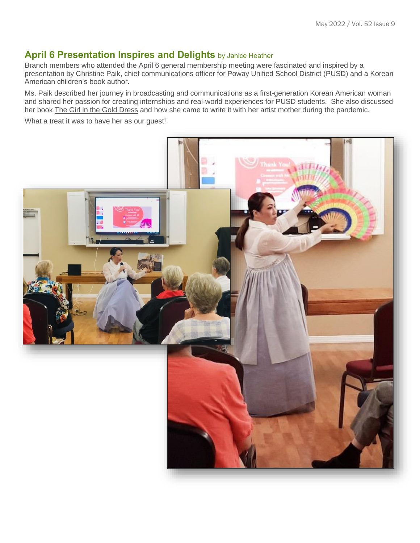#### **April 6 Presentation Inspires and Delights** by Janice Heather

Branch members who attended the April 6 general membership meeting were fascinated and inspired by a presentation by Christine Paik, chief communications officer for Poway Unified School District (PUSD) and a Korean American children's book author.

Ms. Paik described her journey in broadcasting and communications as a first-generation Korean American woman and shared her passion for creating internships and real-world experiences for PUSD students. She also discussed her book The Girl in the Gold Dress and how she came to write it with her artist mother during the pandemic.

What a treat it was to have her as our guest!

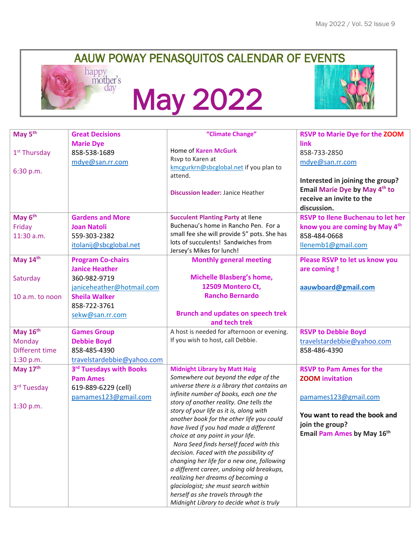# AAUW POWAY PENASQUITOS CALENDAR OF EVENTS<br>happy mother's



# May 2022



| May 5 <sup>th</sup><br>"Climate Change"<br><b>Great Decisions</b>                                                            | <b>RSVP to Marie Dye for the ZOOM</b>    |
|------------------------------------------------------------------------------------------------------------------------------|------------------------------------------|
| link<br><b>Marie Dye</b>                                                                                                     |                                          |
| <b>Home of Karen McGurk</b><br>$1st$ Thursday<br>858-538-1689<br>858-733-2850                                                |                                          |
| Rsvp to Karen at<br>mdye@san.rr.com<br>mdye@san.rr.com                                                                       |                                          |
| kmcgurkrn@sbcglobal.net if you plan to<br>6:30 p.m.<br>attend.                                                               |                                          |
|                                                                                                                              | Interested in joining the group?         |
| <b>Discussion leader: Janice Heather</b>                                                                                     | Email Marie Dye by May 4th to            |
| receive an invite to the                                                                                                     |                                          |
| discussion.                                                                                                                  |                                          |
| May 6 <sup>th</sup><br><b>Gardens and More</b><br><b>Succulent Planting Party at Ilene</b>                                   | <b>RSVP to Ilene Buchenau to let her</b> |
| Buchenau's home in Rancho Pen. For a<br>Friday<br><b>Joan Natoli</b>                                                         | know you are coming by May 4th           |
| small fee she will provide 5" pots. She has<br>858-484-0668<br>11:30 a.m.<br>559-303-2382                                    |                                          |
| lots of succulents! Sandwiches from<br>itolanij@sbcglobal.net<br>Ilenemb1@gmail.com<br>Jersey's Mikes for lunch!             |                                          |
| May 14th<br><b>Program Co-chairs</b><br><b>Monthly general meeting</b>                                                       | Please RSVP to let us know you           |
| <b>Janice Heather</b><br>are coming !                                                                                        |                                          |
| <b>Michelle Blasberg's home,</b><br>Saturday<br>360-982-9719                                                                 |                                          |
| 12509 Montero Ct,<br>janiceheather@hotmail.com<br>aauwboard@gmail.com                                                        |                                          |
| <b>Rancho Bernardo</b><br><b>Sheila Walker</b><br>10 a.m. to noon                                                            |                                          |
| 858-722-3761                                                                                                                 |                                          |
| <b>Brunch and updates on speech trek</b><br>sekw@san.rr.com                                                                  |                                          |
| and tech trek                                                                                                                |                                          |
| May 16th<br>A host is needed for afternoon or evening.<br><b>RSVP to Debbie Boyd</b><br><b>Games Group</b>                   |                                          |
| If you wish to host, call Debbie.<br>Monday<br><b>Debbie Boyd</b>                                                            | travelstardebbie@yahoo.com               |
| 858-485-4390<br>Different time<br>858-486-4390                                                                               |                                          |
| travelstardebbie@yahoo.com<br>1:30 p.m.                                                                                      |                                          |
| May $17th$<br>3rd Tuesdays with Books<br><b>Midnight Library by Matt Haig</b><br><b>RSVP to Pam Ames for the</b>             |                                          |
| Somewhere out beyond the edge of the<br><b>ZOOM</b> invitation<br><b>Pam Ames</b>                                            |                                          |
| universe there is a library that contains an<br>3rd Tuesday<br>619-889-6229 (cell)<br>infinite number of books, each one the |                                          |
| pamames123@gmail.com<br>pamames123@gmail.com<br>story of another reality. One tells the                                      |                                          |
| 1:30 p.m.<br>story of your life as it is, along with                                                                         |                                          |
| another book for the other life you could                                                                                    | You want to read the book and            |
| join the group?<br>have lived if you had made a different                                                                    |                                          |
| choice at any point in your life.                                                                                            | Email Pam Ames by May 16th               |
| Nora Seed finds herself faced with this                                                                                      |                                          |
| decision. Faced with the possibility of                                                                                      |                                          |
| changing her life for a new one, following                                                                                   |                                          |
| a different career, undoing old breakups,                                                                                    |                                          |
| realizing her dreams of becoming a<br>glaciologist; she must search within                                                   |                                          |
| herself as she travels through the                                                                                           |                                          |
| Midnight Library to decide what is truly                                                                                     |                                          |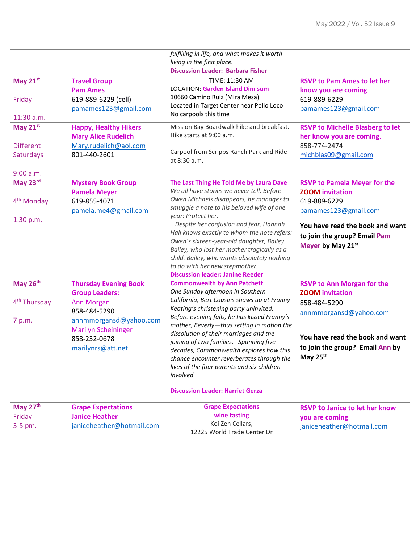|                          |                                            | fulfilling in life, and what makes it worth                                            |                                         |
|--------------------------|--------------------------------------------|----------------------------------------------------------------------------------------|-----------------------------------------|
|                          |                                            | living in the first place.<br><b>Discussion Leader: Barbara Fisher</b>                 |                                         |
| May 21st                 | <b>Travel Group</b>                        | TIME: 11:30 AM                                                                         | <b>RSVP to Pam Ames to let her</b>      |
|                          | <b>Pam Ames</b>                            | <b>LOCATION: Garden Island Dim sum</b>                                                 | know you are coming                     |
| Friday                   | 619-889-6229 (cell)                        | 10660 Camino Ruiz (Mira Mesa)                                                          | 619-889-6229                            |
|                          | pamames123@gmail.com                       | Located in Target Center near Pollo Loco                                               | pamames123@gmail.com                    |
| 11:30 a.m.               |                                            | No carpools this time                                                                  |                                         |
| May 21st                 | <b>Happy, Healthy Hikers</b>               | Mission Bay Boardwalk hike and breakfast.                                              | <b>RSVP to Michelle Blasberg to let</b> |
|                          | <b>Mary Alice Rudelich</b>                 | Hike starts at 9:00 a.m.                                                               | her know you are coming.                |
| <b>Different</b>         | Mary.rudelich@aol.com                      | Carpool from Scripps Ranch Park and Ride                                               | 858-774-2474                            |
| Saturdays                | 801-440-2601                               | at 8:30 a.m.                                                                           | michblas09@gmail.com                    |
| 9:00 a.m.                |                                            |                                                                                        |                                         |
| May 23rd                 | <b>Mystery Book Group</b>                  | The Last Thing He Told Me by Laura Dave                                                | <b>RSVP to Pamela Meyer for the</b>     |
|                          | <b>Pamela Meyer</b>                        | We all have stories we never tell. Before                                              | <b>ZOOM</b> invitation                  |
| 4 <sup>th</sup> Monday   | 619-855-4071                               | Owen Michaels disappears, he manages to                                                | 619-889-6229                            |
|                          | pamela.me4@gmail.com                       | smuggle a note to his beloved wife of one<br>year: Protect her.                        | pamames123@gmail.com                    |
| 1:30 p.m.                |                                            | Despite her confusion and fear, Hannah                                                 | You have read the book and want         |
|                          |                                            | Hall knows exactly to whom the note refers:                                            | to join the group? Email Pam            |
|                          |                                            | Owen's sixteen-year-old daughter, Bailey.                                              | Meyer by May 21st                       |
|                          |                                            | Bailey, who lost her mother tragically as a                                            |                                         |
|                          |                                            | child. Bailey, who wants absolutely nothing<br>to do with her new stepmother.          |                                         |
|                          |                                            | <b>Discussion leader: Janine Reeder</b>                                                |                                         |
| May 26th                 | <b>Thursday Evening Book</b>               | <b>Commonwealth by Ann Patchett</b>                                                    | <b>RSVP to Ann Morgan for the</b>       |
|                          | <b>Group Leaders:</b>                      | One Sunday afternoon in Southern                                                       | <b>ZOOM invitation</b>                  |
| 4 <sup>th</sup> Thursday | <b>Ann Morgan</b>                          | California, Bert Cousins shows up at Franny                                            | 858-484-5290                            |
|                          | 858-484-5290                               | Keating's christening party uninvited.<br>Before evening falls, he has kissed Franny's | annmmorgansd@yahoo.com                  |
| 7 p.m.                   | annmmorgansd@yahoo.com                     | mother, Beverly-thus setting in motion the                                             |                                         |
|                          | <b>Marilyn Scheininger</b><br>858-232-0678 | dissolution of their marriages and the                                                 | You have read the book and want         |
|                          | marilynrs@att.net                          | joining of two families. Spanning five                                                 | to join the group? Email Ann by         |
|                          |                                            | decades, Commonwealth explores how this<br>chance encounter reverberates through the   | May 25 <sup>th</sup>                    |
|                          |                                            | lives of the four parents and six children                                             |                                         |
|                          |                                            | involved.                                                                              |                                         |
|                          |                                            |                                                                                        |                                         |
|                          |                                            | <b>Discussion Leader: Harriet Gerza</b>                                                |                                         |
| May 27th                 | <b>Grape Expectations</b>                  | <b>Grape Expectations</b>                                                              | <b>RSVP to Janice to let her know</b>   |
| Friday                   | <b>Janice Heather</b>                      | wine tasting                                                                           | you are coming                          |
| 3-5 pm.                  | janiceheather@hotmail.com                  | Koi Zen Cellars,                                                                       | janiceheather@hotmail.com               |
|                          |                                            | 12225 World Trade Center Dr                                                            |                                         |